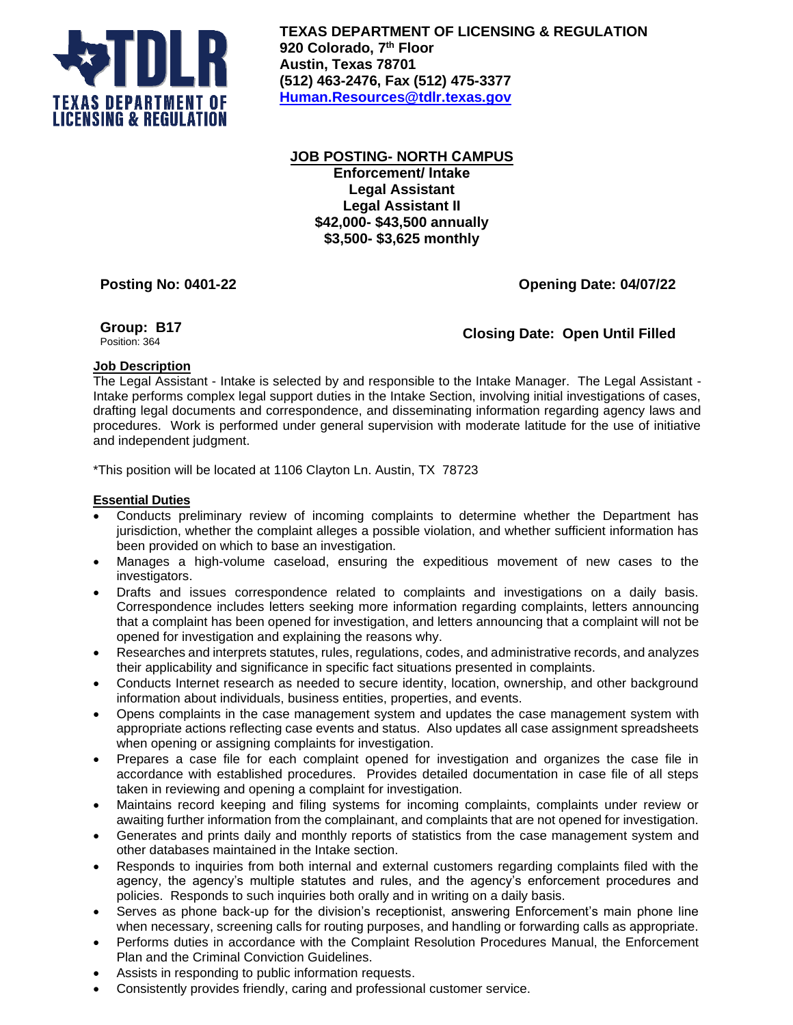

**TEXAS DEPARTMENT OF LICENSING & REGULATION 920 Colorado, 7 th Floor Austin, Texas 78701 (512) 463-2476, Fax (512) 475-3377 [Human.Resources@tdlr.texas.gov](mailto:Human.Resources@tdlr.texas.gov)**

**JOB POSTING- NORTH CAMPUS Enforcement/ Intake Legal Assistant Legal Assistant II \$42,000- \$43,500 annually \$3,500- \$3,625 monthly** 

**Posting No: 0401-22 Opening Date: 04/07/22**

# **Group: B17**

**Closing Date: Open Until Filled** 

## **Job Description**

The Legal Assistant - Intake is selected by and responsible to the Intake Manager. The Legal Assistant - Intake performs complex legal support duties in the Intake Section, involving initial investigations of cases, drafting legal documents and correspondence, and disseminating information regarding agency laws and procedures. Work is performed under general supervision with moderate latitude for the use of initiative and independent judgment.

\*This position will be located at 1106 Clayton Ln. Austin, TX 78723

### **Essential Duties**

- Conducts preliminary review of incoming complaints to determine whether the Department has jurisdiction, whether the complaint alleges a possible violation, and whether sufficient information has been provided on which to base an investigation.
- Manages a high-volume caseload, ensuring the expeditious movement of new cases to the investigators.
- Drafts and issues correspondence related to complaints and investigations on a daily basis. Correspondence includes letters seeking more information regarding complaints, letters announcing that a complaint has been opened for investigation, and letters announcing that a complaint will not be opened for investigation and explaining the reasons why.
- Researches and interprets statutes, rules, regulations, codes, and administrative records, and analyzes their applicability and significance in specific fact situations presented in complaints.
- Conducts Internet research as needed to secure identity, location, ownership, and other background information about individuals, business entities, properties, and events.
- Opens complaints in the case management system and updates the case management system with appropriate actions reflecting case events and status. Also updates all case assignment spreadsheets when opening or assigning complaints for investigation.
- Prepares a case file for each complaint opened for investigation and organizes the case file in accordance with established procedures. Provides detailed documentation in case file of all steps taken in reviewing and opening a complaint for investigation.
- Maintains record keeping and filing systems for incoming complaints, complaints under review or awaiting further information from the complainant, and complaints that are not opened for investigation.
- Generates and prints daily and monthly reports of statistics from the case management system and other databases maintained in the Intake section.
- Responds to inquiries from both internal and external customers regarding complaints filed with the agency, the agency's multiple statutes and rules, and the agency's enforcement procedures and policies. Responds to such inquiries both orally and in writing on a daily basis.
- Serves as phone back-up for the division's receptionist, answering Enforcement's main phone line when necessary, screening calls for routing purposes, and handling or forwarding calls as appropriate.
- Performs duties in accordance with the Complaint Resolution Procedures Manual, the Enforcement Plan and the Criminal Conviction Guidelines.
- Assists in responding to public information requests.
- Consistently provides friendly, caring and professional customer service.